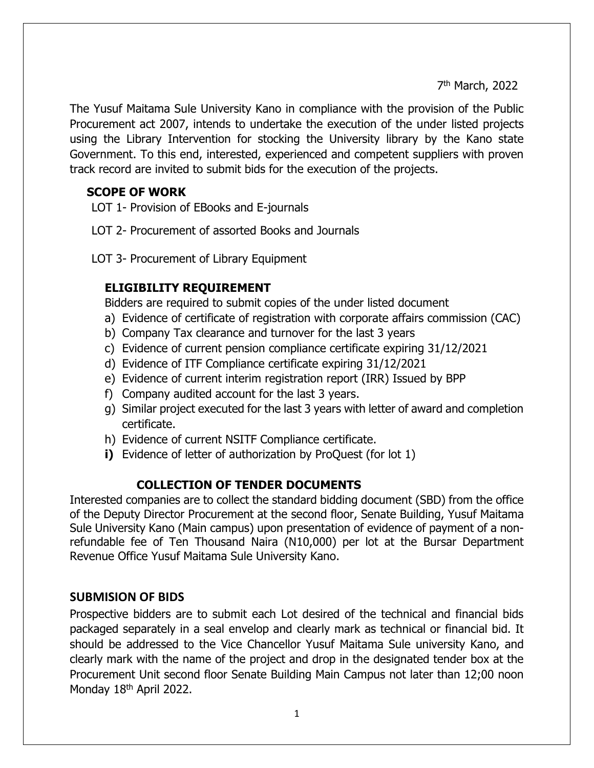ли в село в село во село во село во село во село во село во село во село во село во село во село во село во се<br>Постојата на селото на селото на селото на селото на селото на селото на селото на селото на селото на селото 7<sup>th</sup> March, 2022

The Yusuf Maitama Sule University Kano in compliance with the provision of the Public Procurement act 2007, intends to undertake the execution of the under listed projects using the Library Intervention for stocking the University library by the Kano state Government. To this end, interested, experienced and competent suppliers with proven track record are invited to submit bids for the execution of the projects.

### **SCOPE OF WORK**

LOT 1- Provision of EBooks and E-journals

LOT 2- Procurement of assorted Books and Journals

LOT 3- Procurement of Library Equipment

# **ELIGIBILITY REQUIREMENT**

Bidders are required to submit copies of the under listed document

- a) Evidence of certificate of registration with corporate affairs commission (CAC)
- b) Company Tax clearance and turnover for the last 3 years
- c) Evidence of current pension compliance certificate expiring 31/12/2021
- d) Evidence of ITF Compliance certificate expiring 31/12/2021
- e) Evidence of current interim registration report (IRR) Issued by BPP
- f) Company audited account for the last 3 years.
- g) Similar project executed for the last 3 years with letter of award and completion certificate.
- h) Evidence of current NSITF Compliance certificate.
- **i)** Evidence of letter of authorization by ProQuest (for lot 1)

# **COLLECTION OF TENDER DOCUMENTS**

Interested companies are to collect the standard bidding document (SBD) from the office of the Deputy Director Procurement at the second floor, Senate Building, Yusuf Maitama Sule University Kano (Main campus) upon presentation of evidence of payment of a nonrefundable fee of Ten Thousand Naira (N10,000) per lot at the Bursar Department Revenue Office Yusuf Maitama Sule University Kano.

# **SUBMISION OF BIDS**

Prospective bidders are to submit each Lot desired of the technical and financial bids packaged separately in a seal envelop and clearly mark as technical or financial bid. It should be addressed to the Vice Chancellor Yusuf Maitama Sule university Kano, and clearly mark with the name of the project and drop in the designated tender box at the Procurement Unit second floor Senate Building Main Campus not later than 12;00 noon Monday 18<sup>th</sup> April 2022.